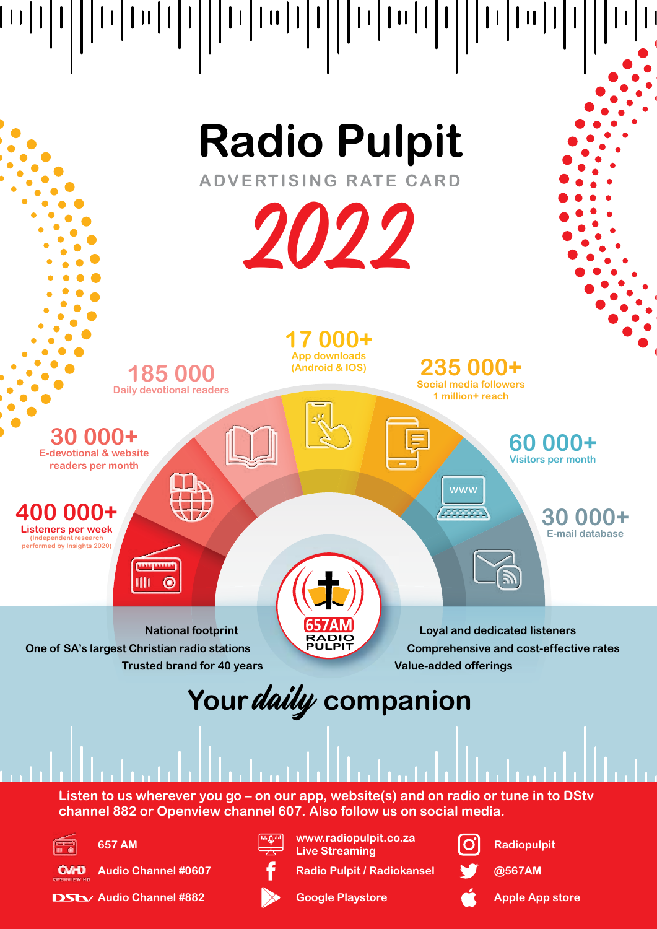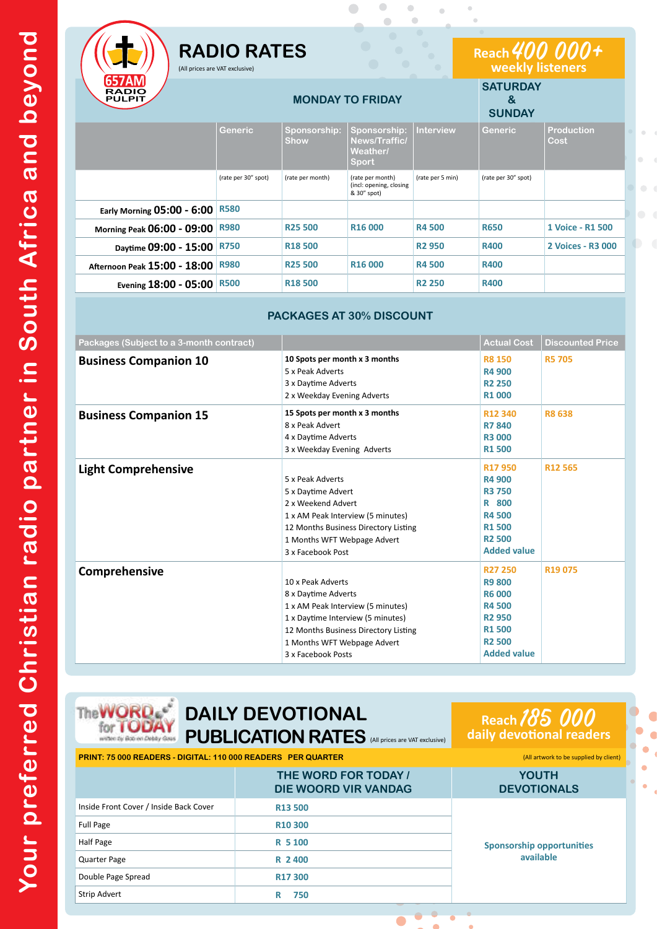|                                               | $\bigcirc$<br>$\bigodot$<br><b>RADIO RATES</b><br>(All prices are VAT exclusive) |                             |                                                            |                  | Reach 400 000+<br>weekly listeners<br>$\begin{array}{c} \begin{array}{c} \begin{array}{c} \begin{array}{c} \end{array} \end{array} \end{array} \end{array} \end{array}$ |                           |  |
|-----------------------------------------------|----------------------------------------------------------------------------------|-----------------------------|------------------------------------------------------------|------------------|-------------------------------------------------------------------------------------------------------------------------------------------------------------------------|---------------------------|--|
| <b>657AM</b><br><b>RADIO</b><br><b>PULPIT</b> |                                                                                  | <b>MONDAY TO FRIDAY</b>     | <b>SATURDAY</b><br>&<br><b>SUNDAY</b>                      |                  |                                                                                                                                                                         |                           |  |
|                                               | <b>Generic</b>                                                                   | Sponsorship:<br><b>Show</b> | Sponsorship:<br>News/Traffic/<br>Weather/<br><b>Sport</b>  | <b>Interview</b> | <b>Generic</b>                                                                                                                                                          | <b>Production</b><br>Cost |  |
|                                               | (rate per 30" spot)                                                              | (rate per month)            | (rate per month)<br>(incl: opening, closing<br>& 30" spot) | (rate per 5 min) | (rate per 30" spot)                                                                                                                                                     |                           |  |
| <b>Early Morning 05:00 - 6:00</b>             | <b>R580</b>                                                                      |                             |                                                            |                  |                                                                                                                                                                         |                           |  |
| Morning Peak 06:00 - 09:00                    | <b>R980</b>                                                                      | <b>R25 500</b>              | R <sub>16</sub> 000                                        | <b>R4500</b>     | <b>R650</b>                                                                                                                                                             | 1 Voice - R1 500          |  |
| Daytime 09:00 - 15:00                         | <b>R750</b>                                                                      | <b>R18500</b>               |                                                            | <b>R2950</b>     | <b>R400</b>                                                                                                                                                             | 2 Voices - R3 000         |  |
| Afternoon Peak 15:00 - 18:00                  | <b>R980</b>                                                                      | <b>R25 500</b>              | R <sub>16</sub> 000                                        | <b>R4500</b>     | <b>R400</b>                                                                                                                                                             |                           |  |
| Evening 18:00 - 05:00                         | <b>R500</b>                                                                      | <b>R18500</b>               |                                                            | <b>R2 250</b>    | <b>R400</b>                                                                                                                                                             |                           |  |

 $\bullet$ 

 $\overline{C}$ 

 $\overline{a}$  $\overline{a}$ 

### **PACKAGES AT 30% DISCOUNT**

| Packages (Subject to a 3-month contract) |                                                                                                                                                                                                                 | <b>Actual Cost</b>                                                                                                                           | <b>Discounted Price</b> |
|------------------------------------------|-----------------------------------------------------------------------------------------------------------------------------------------------------------------------------------------------------------------|----------------------------------------------------------------------------------------------------------------------------------------------|-------------------------|
| <b>Business Companion 10</b>             | 10 Spots per month x 3 months<br>5 x Peak Adverts<br>3 x Daytime Adverts<br>2 x Weekday Evening Adverts                                                                                                         | <b>R8 150</b><br><b>R4 900</b><br><b>R2 250</b><br><b>R1000</b>                                                                              | <b>R5 705</b>           |
| <b>Business Companion 15</b>             | 15 Spots per month x 3 months<br>8 x Peak Advert<br>4 x Daytime Adverts<br>3 x Weekday Evening Adverts                                                                                                          | R12 340<br><b>R7 840</b><br><b>R3 000</b><br><b>R1500</b>                                                                                    | <b>R8638</b>            |
| <b>Light Comprehensive</b>               | 5 x Peak Adverts<br>5 x Daytime Advert<br>2 x Weekend Advert<br>1 x AM Peak Interview (5 minutes)<br>12 Months Business Directory Listing<br>1 Months WFT Webpage Advert<br>3 x Facebook Post                   | R17950<br>R4 900<br><b>R3 750</b><br>R 800<br><b>R4500</b><br><b>R1500</b><br><b>R2 500</b><br><b>Added value</b>                            | R12 565                 |
| Comprehensive                            | 10 x Peak Adverts<br>8 x Daytime Adverts<br>1 x AM Peak Interview (5 minutes)<br>1 x Daytime Interview (5 minutes)<br>12 Months Business Directory Listing<br>1 Months WFT Webpage Advert<br>3 x Facebook Posts | R <sub>27</sub> 250<br><b>R9 800</b><br><b>R6000</b><br><b>R4500</b><br><b>R2 950</b><br><b>R1500</b><br><b>R2 500</b><br><b>Added value</b> | R <sub>19</sub> 075     |

**The WORD** for **IODA** in the Both on Dobby Green

## **DAILY DEVOTIONAL PUBLICATION RATES** (All prices are VAT exclusive)

# **Reach** 185 000 **daily devotional readers**

**PRINT: 75 000 READERS - DIGITAL: 110 000 READERS PER QUARTER** (All artwork to be supplied by client) **THE WORD FOR TODAY / DIE WOORD VIR VANDAG YOUTH DEVOTIONALS** Inside Front Cover / Inside Back Cover **R13 500 Sponsorship opportunities available** Full Page **R10 300** Half Page **R 5 100** Quarter Page **R 2 400 Double Page Spread R17 300** Strip Advert **R** 750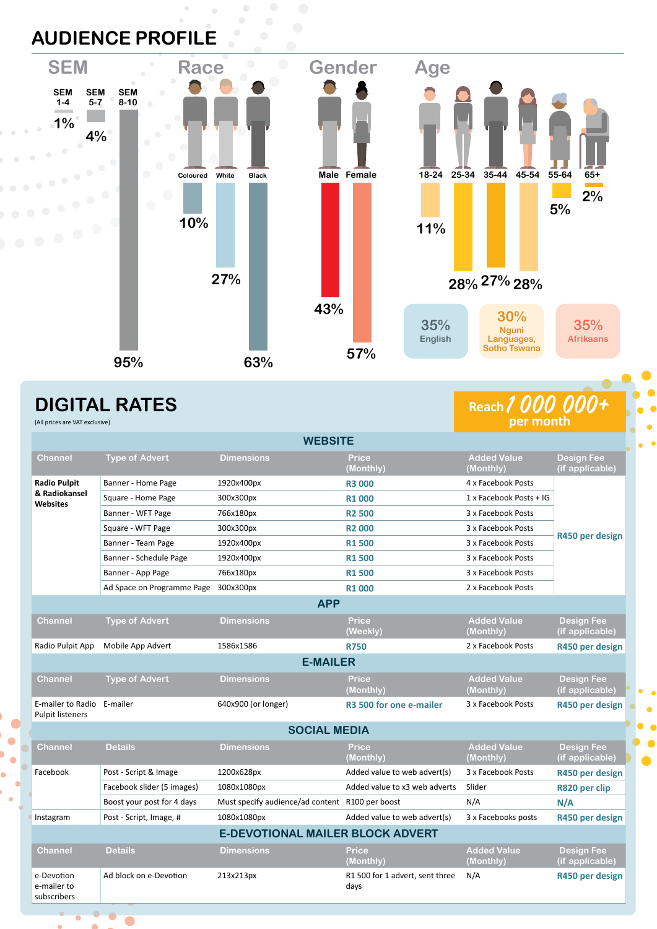## **AUDIENCE PROFILE**



### **DIGITAL RATES** (All prices are VAT exclusive)

Ċ

# **Reach** 1 000 000+

| <b>WEBSITE</b>                                          |                                      |                                                 |                                         |                                 |                                      |  |  |
|---------------------------------------------------------|--------------------------------------|-------------------------------------------------|-----------------------------------------|---------------------------------|--------------------------------------|--|--|
| <b>Channel</b>                                          | <b>Type of Advert</b>                | <b>Dimensions</b>                               | Price<br>(Monthly)                      | <b>Added Value</b><br>(Monthly) | <b>Design Fee</b><br>(if applicable) |  |  |
| <b>Radio Pulpit</b><br>& Radiokansel<br><b>Websites</b> | Banner - Home Page                   | 1920x400px                                      | <b>R3 000</b>                           | 4 x Facebook Posts              |                                      |  |  |
|                                                         | Square - Home Page                   | 300x300px                                       | <b>R1000</b>                            | 1 x Facebook Posts + IG         |                                      |  |  |
|                                                         | Banner - WFT Page                    | 766x180px                                       | <b>R2500</b>                            | 3 x Facebook Posts              | R450 per design                      |  |  |
|                                                         | Square - WFT Page                    | 300x300px                                       | <b>R2000</b>                            | 3 x Facebook Posts              |                                      |  |  |
|                                                         | Banner - Team Page                   | 1920x400px                                      | <b>R1500</b>                            | 3 x Facebook Posts              |                                      |  |  |
|                                                         | Banner - Schedule Page               | 1920x400px                                      | <b>R1500</b>                            | 3 x Facebook Posts              |                                      |  |  |
|                                                         | Banner - App Page                    | 766x180px                                       | <b>R1500</b>                            | 3 x Facebook Posts              |                                      |  |  |
|                                                         | Ad Space on Programme Page 300x300px |                                                 | <b>R1000</b>                            | 2 x Facebook Posts              |                                      |  |  |
| <b>APP</b>                                              |                                      |                                                 |                                         |                                 |                                      |  |  |
| <b>Channel</b>                                          | <b>Type of Advert</b>                | <b>Dimensions</b>                               | <b>Price</b><br>(Weekly)                | <b>Added Value</b><br>(Monthly) | <b>Design Fee</b><br>(if applicable) |  |  |
| Radio Pulpit App                                        | Mobile App Advert                    | 1586x1586                                       | <b>R750</b>                             | 2 x Facebook Posts              | R450 per design                      |  |  |
| <b>E-MAILER</b>                                         |                                      |                                                 |                                         |                                 |                                      |  |  |
| <b>Channel</b>                                          | <b>Type of Advert</b>                | <b>Dimensions</b>                               | Price<br>(Monthly)                      | <b>Added Value</b><br>(Monthly) | <b>Design Fee</b><br>(if applicable) |  |  |
| E-mailer to Radio E-mailer<br><b>Pulpit listeners</b>   |                                      | 640x900 (or longer)                             | R <sub>3</sub> 500 for one e-mailer     | 3 x Facebook Posts              | R450 per design                      |  |  |
| <b>SOCIAL MEDIA</b>                                     |                                      |                                                 |                                         |                                 |                                      |  |  |
| <b>Channel</b>                                          | <b>Details</b>                       | <b>Dimensions</b>                               | Price<br>(Monthly)                      | <b>Added Value</b><br>(Monthly) | <b>Design Fee</b><br>(if applicable) |  |  |
| Facebook                                                | Post - Script & Image<br>1200x628px  |                                                 | Added value to web advert(s)            | 3 x Facebook Posts              | R450 per design                      |  |  |
|                                                         | Facebook slider (5 images)           | 1080x1080px                                     | Added value to x3 web adverts           | Slider                          | R820 per clip                        |  |  |
|                                                         | Boost your post for 4 days           | Must specify audience/ad content R100 per boost |                                         | N/A                             | N/A                                  |  |  |
| Instagram                                               | Post - Script, Image, #              | 1080x1080px                                     | Added value to web advert(s)            | 3 x Facebooks posts             | R450 per design                      |  |  |
| <b>E-DEVOTIONAL MAILER BLOCK ADVERT</b>                 |                                      |                                                 |                                         |                                 |                                      |  |  |
| <b>Channel</b>                                          | <b>Details</b>                       | <b>Dimensions</b>                               | <b>Price</b><br>(Monthly)               | <b>Added Value</b><br>(Monthly) | <b>Design Fee</b><br>(if applicable) |  |  |
| e-Devotion<br>e-mailer to<br>subscribers                | Ad block on e-Devotion               | 213x213px                                       | R1 500 for 1 advert, sent three<br>days | N/A                             | R450 per design                      |  |  |